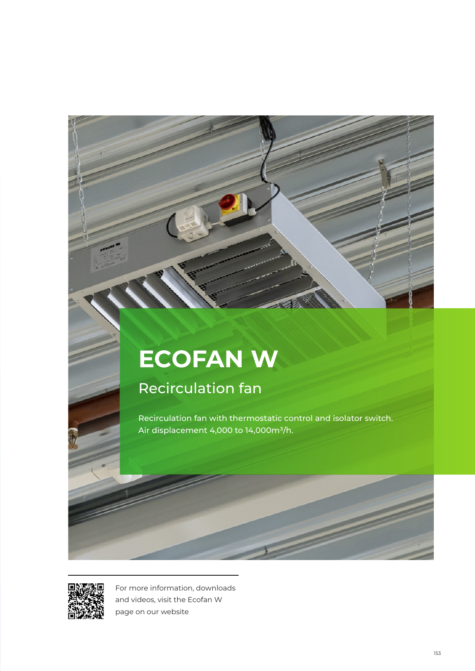# **ECOFAN W**

# Recirculation fan

Recirculation fan with thermostatic control and isolator switch. Air displacement 4,000 to 14,000m<sup>3</sup>/h.



For more information, downloads and videos, visit the Ecofan W page on our website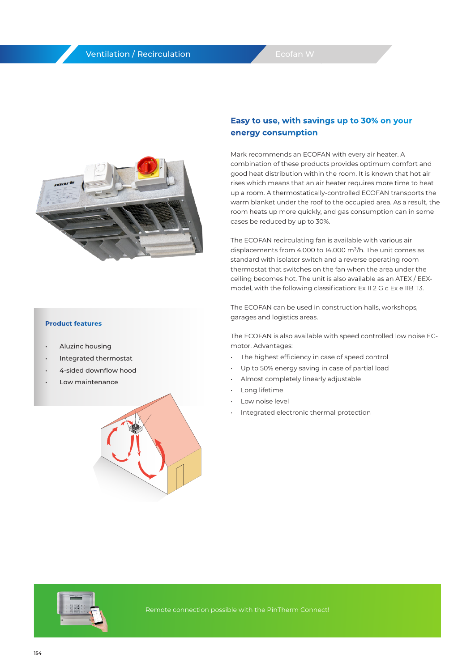#### Ventilation / Recirculation



#### **Product features**

- Aluzinc housing
- Integrated thermostat
- 4-sided downflow hood
- Low maintenance



#### **Easy to use, with savings up to 30% on your energy consumption**

Mark recommends an ECOFAN with every air heater. A combination of these products provides optimum comfort and good heat distribution within the room. It is known that hot air rises which means that an air heater requires more time to heat up a room. A thermostatically-controlled ECOFAN transports the warm blanket under the roof to the occupied area. As a result, the room heats up more quickly, and gas consumption can in some cases be reduced by up to 30%.

The ECOFAN recirculating fan is available with various air displacements from 4.000 to 14.000  $m^3/h$ . The unit comes as standard with isolator switch and a reverse operating room thermostat that switches on the fan when the area under the ceiling becomes hot. The unit is also available as an ATEX / EEXmodel, with the following classification: Ex II 2 G c Ex e IIB T3.

The ECOFAN can be used in construction halls, workshops, garages and logistics areas.

The ECOFAN is also available with speed controlled low noise ECmotor. Advantages:

- The highest efficiency in case of speed control
- Up to 50% energy saving in case of partial load
- Almost completely linearly adjustable
- Long lifetime
- Low noise level
- Integrated electronic thermal protection

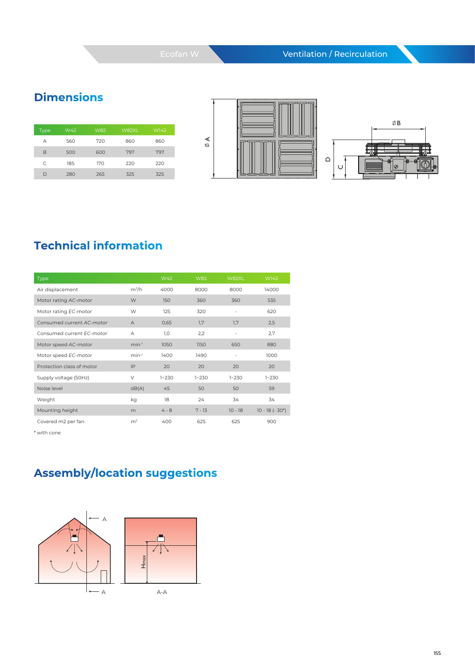### **Dimensions**

| <b>Type</b> | W42 | <b>W82</b> | W82XL | W142 |
|-------------|-----|------------|-------|------|
| А           | 560 | 720        | 860   | 860  |
| B           | 500 | 600        | 797   | 797  |
| C.          | 185 | 170        | 220   | 220  |
|             | 280 | 265        | 325   | 325  |

 $\uplus$ 





## **Technical information**

| Type                      |                | W42       | W82       | W82XL     | W142             |
|---------------------------|----------------|-----------|-----------|-----------|------------------|
| Air displacement          | $m^3/h$        | 4000      | 8000      | 8000      | 14000            |
| Motor rating AC-motor     | W              | 150       | 360       | 360       | 535              |
| Motor rating EC-motor     | W              | 125       | 320       | -         | 620              |
| Consumed current AC-motor | $\overline{A}$ | 0,65      | 1,7       | 1,7       | 2,5              |
| Consumed current FC-motor | $\mathsf{A}$   | 1,0       | 2,2       | -         | 2,7              |
| Motor speed AC-motor      | $min-1$        | 1050      | 1150      | 650       | 880              |
| Motor speed EC-motor      | $min-1$        | 1400      | 1490      | ٠         | 1000             |
| Protection class of motor | IP             | 20        | 20        | 20        | 20               |
| Supply voltage (50Hz)     | $\vee$         | $1 - 230$ | $1 - 230$ | $1 - 230$ | $1 - 230$        |
| Noise level               | dB(A)          | 45        | 50        | 50        | 59               |
| Weight                    | kg             | 18        | 24        | 34        | 34               |
| Mounting height           | m              | $4 - 8$   | $7 - 13$  | $10 - 18$ | $10 - 18 (-30*)$ |
| Covered m2 per fan        | m <sup>2</sup> | 400       | 625       | 625       | 900              |

\* with cone

# **Assembly/location suggestions**